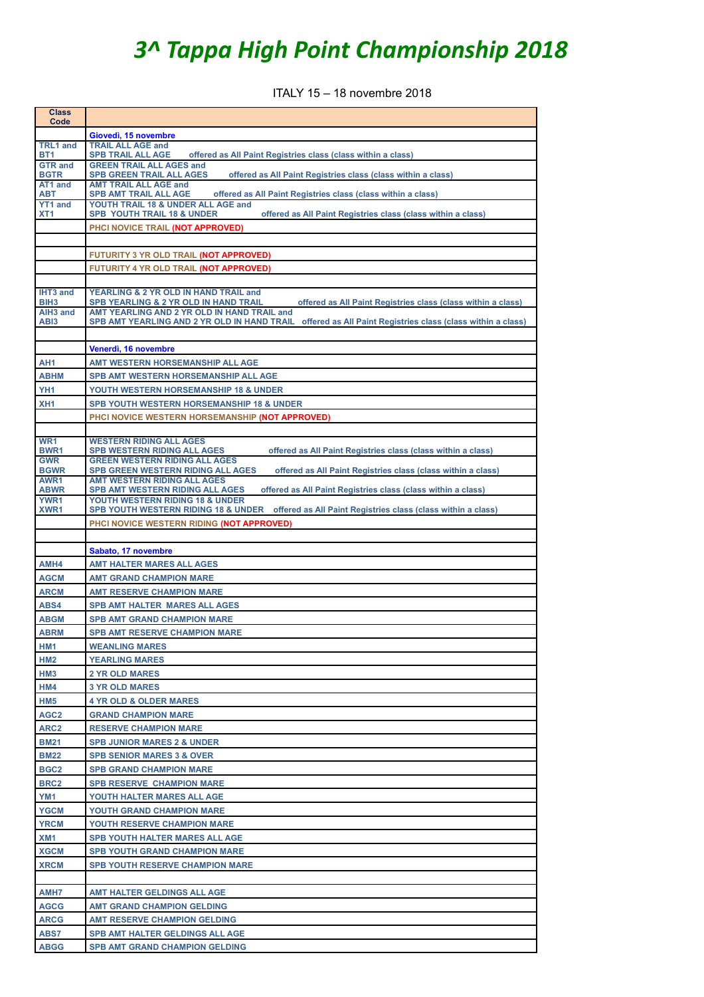## *3^ Tappa High Point Championship 2018*

ITALY 15 – 18 novembre 2018

| <b>Class</b><br>Code              |                                                                                                                                                  |
|-----------------------------------|--------------------------------------------------------------------------------------------------------------------------------------------------|
|                                   | Giovedì, 15 novembre                                                                                                                             |
| <b>TRL1</b> and                   | <b>TRAIL ALL AGE and</b>                                                                                                                         |
| BT1<br><b>GTR and</b>             | <b>SPB TRAIL ALL AGE</b><br>offered as All Paint Registries class (class within a class)<br><b>GREEN TRAIL ALL AGES and</b>                      |
| <b>BGTR</b>                       | <b>SPB GREEN TRAIL ALL AGES</b><br>offered as All Paint Registries class (class within a class)                                                  |
| AT1 and<br><b>ABT</b>             | <b>AMT TRAIL ALL AGE and</b><br>offered as All Paint Registries class (class within a class)<br><b>SPB AMT TRAIL ALL AGE</b>                     |
| <b>YT1 and</b><br>XT <sub>1</sub> | YOUTH TRAIL 18 & UNDER ALL AGE and<br><b>SPB YOUTH TRAIL 18 &amp; UNDER</b><br>offered as All Paint Registries class (class within a class)      |
|                                   | PHCI NOVICE TRAIL (NOT APPROVED)                                                                                                                 |
|                                   |                                                                                                                                                  |
|                                   | FUTURITY 3 YR OLD TRAIL (NOT APPROVED)                                                                                                           |
|                                   | FUTURITY 4 YR OLD TRAIL (NOT APPROVED)                                                                                                           |
|                                   |                                                                                                                                                  |
| IHT3 and<br>BIH <sub>3</sub>      | YEARLING & 2 YR OLD IN HAND TRAIL and<br>offered as All Paint Registries class (class within a class)<br>SPB YEARLING & 2 YR OLD IN HAND TRAIL   |
| AIH <sub>3</sub> and              | AMT YEARLING AND 2 YR OLD IN HAND TRAIL and                                                                                                      |
| AB <sub>13</sub>                  | SPB AMT YEARLING AND 2 YR OLD IN HAND TRAIL offered as All Paint Registries class (class within a class)                                         |
|                                   |                                                                                                                                                  |
|                                   | Venerdì, 16 novembre                                                                                                                             |
| AH <sub>1</sub>                   | AMT WESTERN HORSEMANSHIP ALL AGE                                                                                                                 |
| <b>ABHM</b>                       | <b>SPB AMT WESTERN HORSEMANSHIP ALL AGE</b>                                                                                                      |
| YH <sub>1</sub>                   | YOUTH WESTERN HORSEMANSHIP 18 & UNDER                                                                                                            |
| XH <sub>1</sub>                   | SPB YOUTH WESTERN HORSEMANSHIP 18 & UNDER                                                                                                        |
|                                   | PHCI NOVICE WESTERN HORSEMANSHIP (NOT APPROVED)                                                                                                  |
| WR <sub>1</sub>                   | <b>WESTERN RIDING ALL AGES</b>                                                                                                                   |
| <b>BWR1</b>                       | offered as All Paint Registries class (class within a class)<br><b>SPB WESTERN RIDING ALL AGES</b>                                               |
| <b>GWR</b><br><b>BGWR</b>         | <b>GREEN WESTERN RIDING ALL AGES</b><br><b>SPB GREEN WESTERN RIDING ALL AGES</b><br>offered as All Paint Registries class (class within a class) |
| AWR1                              | <b>AMT WESTERN RIDING ALL AGES</b>                                                                                                               |
| <b>ABWR</b><br><b>YWR1</b>        | offered as All Paint Registries class (class within a class)<br><b>SPB AMT WESTERN RIDING ALL AGES</b><br>YOUTH WESTERN RIDING 18 & UNDER        |
| XWR <sub>1</sub>                  | SPB YOUTH WESTERN RIDING 18 & UNDER offered as All Paint Registries class (class within a class)                                                 |
|                                   | PHCI NOVICE WESTERN RIDING (NOT APPROVED)                                                                                                        |
|                                   |                                                                                                                                                  |
|                                   | Sabato, 17 novembre                                                                                                                              |
| AMH4                              | <b>AMT HALTER MARES ALL AGES</b>                                                                                                                 |
| <b>AGCM</b>                       | <b>AMT GRAND CHAMPION MARE</b>                                                                                                                   |
| <b>ARCM</b>                       | <b>AMT RESERVE CHAMPION MARE</b>                                                                                                                 |
| ABS4                              | <b>SPB AMT HALTER MARES ALL AGES</b>                                                                                                             |
| <b>ABGM</b>                       | <b>SPB AMT GRAND CHAMPION MARE</b>                                                                                                               |
| <b>ABRM</b>                       | <b>SPB AMT RESERVE CHAMPION MARE</b>                                                                                                             |
| HM1                               | <b>WEANLING MARES</b>                                                                                                                            |
| HM <sub>2</sub>                   | <b>YEARLING MARES</b>                                                                                                                            |
| HM3                               | <b>2 YR OLD MARES</b>                                                                                                                            |
| HM4<br>HM <sub>5</sub>            | <b>3 YR OLD MARES</b><br><b>4 YR OLD &amp; OLDER MARES</b>                                                                                       |
| AGC <sub>2</sub>                  | <b>GRAND CHAMPION MARE</b>                                                                                                                       |
| ARC <sub>2</sub>                  | <b>RESERVE CHAMPION MARE</b>                                                                                                                     |
| <b>BM21</b>                       | <b>SPB JUNIOR MARES 2 &amp; UNDER</b>                                                                                                            |
| <b>BM22</b>                       | <b>SPB SENIOR MARES 3 &amp; OVER</b>                                                                                                             |
| BGC <sub>2</sub>                  | <b>SPB GRAND CHAMPION MARE</b>                                                                                                                   |
| BRC <sub>2</sub>                  | <b>SPB RESERVE CHAMPION MARE</b>                                                                                                                 |
| YM1                               | YOUTH HALTER MARES ALL AGE                                                                                                                       |
| <b>YGCM</b>                       | YOUTH GRAND CHAMPION MARE                                                                                                                        |
| <b>YRCM</b>                       | YOUTH RESERVE CHAMPION MARE                                                                                                                      |
| XM <sub>1</sub>                   | <b>SPB YOUTH HALTER MARES ALL AGE</b>                                                                                                            |
| <b>XGCM</b>                       | <b>SPB YOUTH GRAND CHAMPION MARE</b>                                                                                                             |
| <b>XRCM</b>                       | <b>SPB YOUTH RESERVE CHAMPION MARE</b>                                                                                                           |
|                                   |                                                                                                                                                  |
| AMH7                              | AMT HALTER GELDINGS ALL AGE                                                                                                                      |
| <b>AGCG</b>                       | <b>AMT GRAND CHAMPION GELDING</b>                                                                                                                |
| <b>ARCG</b>                       | <b>AMT RESERVE CHAMPION GELDING</b>                                                                                                              |
| <b>ABS7</b>                       | <b>SPB AMT HALTER GELDINGS ALL AGE</b>                                                                                                           |
| <b>ABGG</b>                       | <b>SPB AMT GRAND CHAMPION GELDING</b>                                                                                                            |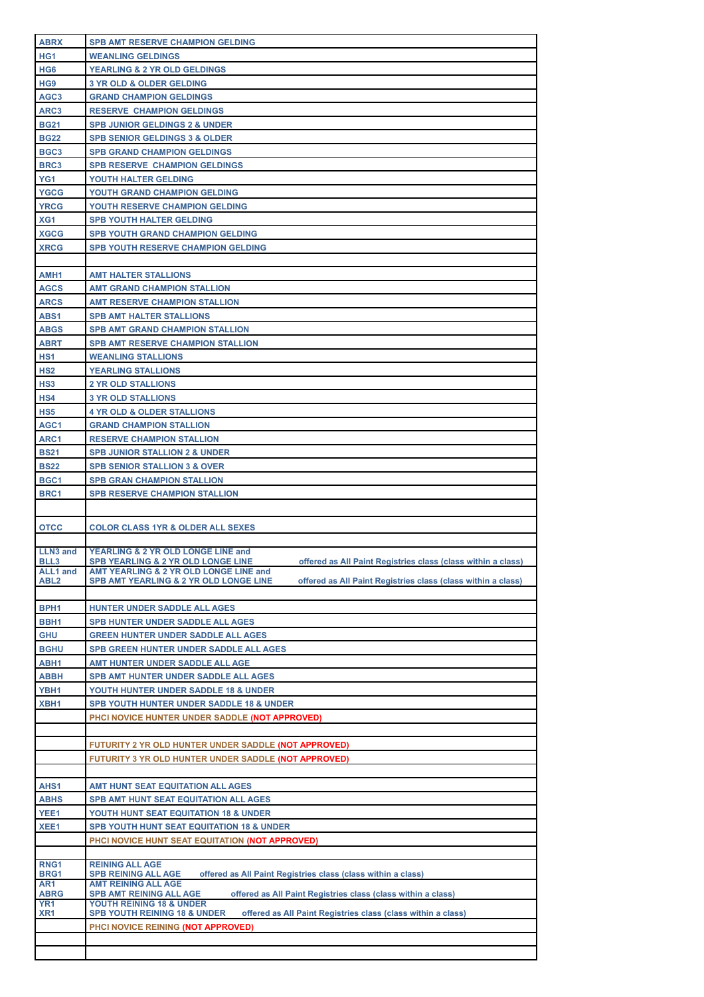| <b>ABRX</b>             | <b>SPB AMT RESERVE CHAMPION GELDING</b>                                                                                                      |
|-------------------------|----------------------------------------------------------------------------------------------------------------------------------------------|
| HG1                     | <b>WEANLING GELDINGS</b>                                                                                                                     |
| HG <sub>6</sub>         | <b>YEARLING &amp; 2 YR OLD GELDINGS</b>                                                                                                      |
| HG <sub>9</sub>         | <b>3 YR OLD &amp; OLDER GELDING</b>                                                                                                          |
| AGC <sub>3</sub>        | <b>GRAND CHAMPION GELDINGS</b>                                                                                                               |
|                         |                                                                                                                                              |
| ARC3                    | <b>RESERVE CHAMPION GELDINGS</b>                                                                                                             |
| <b>BG21</b>             | <b>SPB JUNIOR GELDINGS 2 &amp; UNDER</b>                                                                                                     |
| <b>BG22</b>             | <b>SPB SENIOR GELDINGS 3 &amp; OLDER</b>                                                                                                     |
| BGC <sub>3</sub>        | <b>SPB GRAND CHAMPION GELDINGS</b>                                                                                                           |
|                         |                                                                                                                                              |
| BRC3                    | <b>SPB RESERVE CHAMPION GELDINGS</b>                                                                                                         |
| YG1                     | YOUTH HALTER GELDING                                                                                                                         |
| <b>YGCG</b>             | <b>YOUTH GRAND CHAMPION GELDING</b>                                                                                                          |
| <b>YRCG</b>             | YOUTH RESERVE CHAMPION GELDING                                                                                                               |
|                         |                                                                                                                                              |
| XG1                     | <b>SPB YOUTH HALTER GELDING</b>                                                                                                              |
| <b>XGCG</b>             | <b>SPB YOUTH GRAND CHAMPION GELDING</b>                                                                                                      |
| <b>XRCG</b>             | <b>SPB YOUTH RESERVE CHAMPION GELDING</b>                                                                                                    |
|                         |                                                                                                                                              |
| AMH1                    | <b>AMT HALTER STALLIONS</b>                                                                                                                  |
|                         |                                                                                                                                              |
| <b>AGCS</b>             | <b>AMT GRAND CHAMPION STALLION</b>                                                                                                           |
| <b>ARCS</b>             | <b>AMT RESERVE CHAMPION STALLION</b>                                                                                                         |
| ABS1                    | <b>SPB AMT HALTER STALLIONS</b>                                                                                                              |
| <b>ABGS</b>             | <b>SPB AMT GRAND CHAMPION STALLION</b>                                                                                                       |
|                         |                                                                                                                                              |
| <b>ABRT</b>             | <b>SPB AMT RESERVE CHAMPION STALLION</b>                                                                                                     |
| HS <sub>1</sub>         | <b>WEANLING STALLIONS</b>                                                                                                                    |
| HS <sub>2</sub>         | <b>YEARLING STALLIONS</b>                                                                                                                    |
| HS <sub>3</sub>         | <b>2 YR OLD STALLIONS</b>                                                                                                                    |
|                         |                                                                                                                                              |
| HS4                     | <b>3 YR OLD STALLIONS</b>                                                                                                                    |
| HS5                     | <b>4 YR OLD &amp; OLDER STALLIONS</b>                                                                                                        |
| AGC1                    | <b>GRAND CHAMPION STALLION</b>                                                                                                               |
| ARC1                    | <b>RESERVE CHAMPION STALLION</b>                                                                                                             |
|                         |                                                                                                                                              |
| <b>BS21</b>             | <b>SPB JUNIOR STALLION 2 &amp; UNDER</b>                                                                                                     |
| <b>BS22</b>             | <b>SPB SENIOR STALLION 3 &amp; OVER</b>                                                                                                      |
| BGC <sub>1</sub>        | <b>SPB GRAN CHAMPION STALLION</b>                                                                                                            |
|                         |                                                                                                                                              |
|                         |                                                                                                                                              |
| BRC1                    | <b>SPB RESERVE CHAMPION STALLION</b>                                                                                                         |
|                         |                                                                                                                                              |
|                         |                                                                                                                                              |
| <b>OTCC</b>             | <b>COLOR CLASS 1YR &amp; OLDER ALL SEXES</b>                                                                                                 |
|                         |                                                                                                                                              |
| LLN3 and                | YEARLING & 2 YR OLD LONGE LINE and                                                                                                           |
| BLL <sub>3</sub>        | SPB YEARLING & 2 YR OLD LONGE LINE<br>offered as All Paint Registries class (class within a class)<br>AMT YEARLING & 2 YR OLD LONGE LINE and |
| <b>ALL1</b> and<br>ABL2 | <b>SPB AMT YEARLING &amp; 2 YR OLD LONGE LINE</b><br>offered as All Paint Registries class (class within a class)                            |
|                         |                                                                                                                                              |
|                         |                                                                                                                                              |
| BPH <sub>1</sub>        | HUNTER UNDER SADDLE ALL AGES                                                                                                                 |
| BBH <sub>1</sub>        | <b>SPB HUNTER UNDER SADDLE ALL AGES</b>                                                                                                      |
| GHU                     | <b>GREEN HUNTER UNDER SADDLE ALL AGES</b>                                                                                                    |
|                         |                                                                                                                                              |
| <b>BGHU</b>             | <b>SPB GREEN HUNTER UNDER SADDLE ALL AGES</b>                                                                                                |
| ABH1                    | AMT HUNTER UNDER SADDLE ALL AGE                                                                                                              |
| <b>ABBH</b>             | SPB AMT HUNTER UNDER SADDLE ALL AGES                                                                                                         |
| YBH1                    | YOUTH HUNTER UNDER SADDLE 18 & UNDER                                                                                                         |
| XBH1                    | <b>SPB YOUTH HUNTER UNDER SADDLE 18 &amp; UNDER</b>                                                                                          |
|                         |                                                                                                                                              |
|                         | PHCI NOVICE HUNTER UNDER SADDLE (NOT APPROVED)                                                                                               |
|                         |                                                                                                                                              |
|                         | FUTURITY 2 YR OLD HUNTER UNDER SADDLE (NOT APPROVED)                                                                                         |
|                         | FUTURITY 3 YR OLD HUNTER UNDER SADDLE (NOT APPROVED)                                                                                         |
|                         |                                                                                                                                              |
|                         |                                                                                                                                              |
| AHS1                    | AMT HUNT SEAT EQUITATION ALL AGES                                                                                                            |
| <b>ABHS</b>             | SPB AMT HUNT SEAT EQUITATION ALL AGES                                                                                                        |
| YEE1                    | YOUTH HUNT SEAT EQUITATION 18 & UNDER                                                                                                        |
| XEE1                    | <b>SPB YOUTH HUNT SEAT EQUITATION 18 &amp; UNDER</b>                                                                                         |
|                         |                                                                                                                                              |
|                         | PHCI NOVICE HUNT SEAT EQUITATION (NOT APPROVED)                                                                                              |
|                         |                                                                                                                                              |
| RNG1                    | <b>REINING ALL AGE</b>                                                                                                                       |
| BRG1                    | <b>SPB REINING ALL AGE</b><br>offered as All Paint Registries class (class within a class)<br><b>AMT REINING ALL AGE</b>                     |
| AR1<br><b>ABRG</b>      | offered as All Paint Registries class (class within a class)<br><b>SPB AMT REINING ALL AGE</b>                                               |
| YR <sub>1</sub>         | YOUTH REINING 18 & UNDER                                                                                                                     |
| XR <sub>1</sub>         | offered as All Paint Registries class (class within a class)<br><b>SPB YOUTH REINING 18 &amp; UNDER</b>                                      |
|                         | PHCI NOVICE REINING (NOT APPROVED)                                                                                                           |
|                         |                                                                                                                                              |